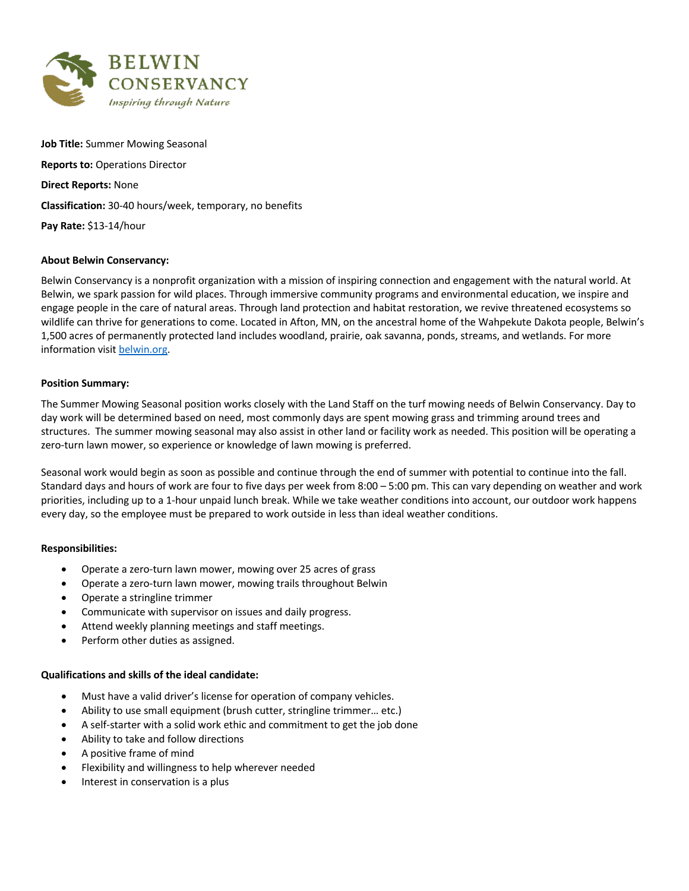

**Job Title:** Summer Mowing Seasonal **Reports to:** Operations Director **Direct Reports:** None **Classification:** 30-40 hours/week, temporary, no benefits **Pay Rate:** \$13-14/hour

# **About Belwin Conservancy:**

Belwin Conservancy is a nonprofit organization with a mission of inspiring connection and engagement with the natural world. At Belwin, we spark passion for wild places. Through immersive community programs and environmental education, we inspire and engage people in the care of natural areas. Through land protection and habitat restoration, we revive threatened ecosystems so wildlife can thrive for generations to come. Located in Afton, MN, on the ancestral home of the Wahpekute Dakota people, Belwin's 1,500 acres of permanently protected land includes woodland, prairie, oak savanna, ponds, streams, and wetlands. For more information visit belwin.org.

#### **Position Summary:**

The Summer Mowing Seasonal position works closely with the Land Staff on the turf mowing needs of Belwin Conservancy. Day to day work will be determined based on need, most commonly days are spent mowing grass and trimming around trees and structures. The summer mowing seasonal may also assist in other land or facility work as needed. This position will be operating a zero-turn lawn mower, so experience or knowledge of lawn mowing is preferred.

Seasonal work would begin as soon as possible and continue through the end of summer with potential to continue into the fall. Standard days and hours of work are four to five days per week from 8:00 – 5:00 pm. This can vary depending on weather and work priorities, including up to a 1-hour unpaid lunch break. While we take weather conditions into account, our outdoor work happens every day, so the employee must be prepared to work outside in less than ideal weather conditions.

#### **Responsibilities:**

- Operate a zero-turn lawn mower, mowing over 25 acres of grass
- Operate a zero-turn lawn mower, mowing trails throughout Belwin
- Operate a stringline trimmer
- Communicate with supervisor on issues and daily progress.
- Attend weekly planning meetings and staff meetings.
- Perform other duties as assigned.

#### **Qualifications and skills of the ideal candidate:**

- Must have a valid driver's license for operation of company vehicles.
- Ability to use small equipment (brush cutter, stringline trimmer… etc.)
- A self-starter with a solid work ethic and commitment to get the job done
- Ability to take and follow directions
- A positive frame of mind
- Flexibility and willingness to help wherever needed
- Interest in conservation is a plus